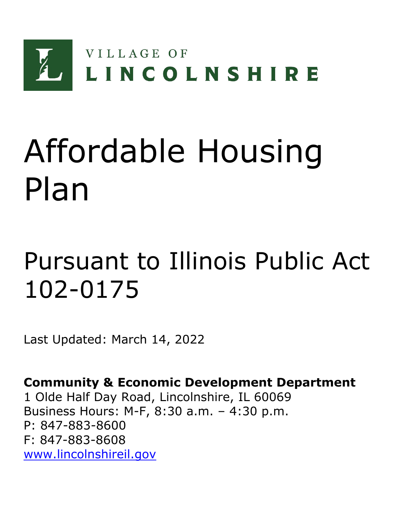

# Affordable Housing Plan

# Pursuant to Illinois Public Act 102-0175

Last Updated: March 14, 2022

**Community & Economic Development Department** 1 Olde Half Day Road, Lincolnshire, IL 60069 Business Hours: M-F, 8:30 a.m. – 4:30 p.m. P: 847-883-8600 F: 847-883-8608 [www.lincolnshireil.gov](http://www.lincolnshireil.gov/)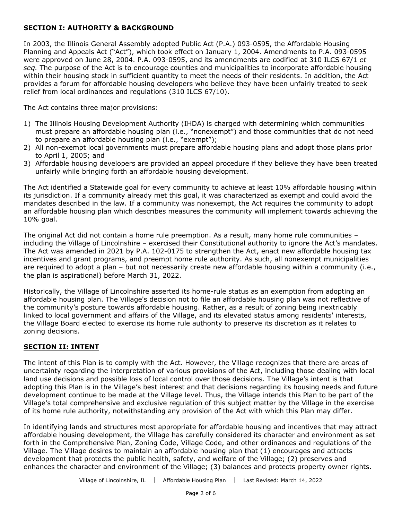# **SECTION I: AUTHORITY & BACKGROUND**

In 2003, the Illinois General Assembly adopted Public Act (P.A.) 093-0595, the Affordable Housing Planning and Appeals Act ("Act"), which took effect on January 1, 2004. Amendments to P.A. 093-0595 were approved on June 28, 2004. P.A. 093-0595, and its amendments are codified at 310 ILCS 67/1 *et seq.* The purpose of the Act is to encourage counties and municipalities to incorporate affordable housing within their housing stock in sufficient quantity to meet the needs of their residents. In addition, the Act provides a forum for affordable housing developers who believe they have been unfairly treated to seek relief from local ordinances and regulations (310 ILCS 67/10).

The Act contains three major provisions:

- 1) The Illinois Housing Development Authority (IHDA) is charged with determining which communities must prepare an affordable housing plan (i.e., "nonexempt") and those communities that do not need to prepare an affordable housing plan (i.e., "exempt");
- 2) All non-exempt local governments must prepare affordable housing plans and adopt those plans prior to April 1, 2005; and
- 3) Affordable housing developers are provided an appeal procedure if they believe they have been treated unfairly while bringing forth an affordable housing development.

The Act identified a Statewide goal for every community to achieve at least 10% affordable housing within its jurisdiction. If a community already met this goal, it was characterized as exempt and could avoid the mandates described in the law. If a community was nonexempt, the Act requires the community to adopt an affordable housing plan which describes measures the community will implement towards achieving the 10% goal.

The original Act did not contain a home rule preemption. As a result, many home rule communities – including the Village of Lincolnshire – exercised their Constitutional authority to ignore the Act's mandates. The Act was amended in 2021 by P.A. 102-0175 to strengthen the Act, enact new affordable housing tax incentives and grant programs, and preempt home rule authority. As such, all nonexempt municipalities are required to adopt a plan – but not necessarily create new affordable housing within a community (i.e., the plan is aspirational) before March 31, 2022.

Historically, the Village of Lincolnshire asserted its home-rule status as an exemption from adopting an affordable housing plan. The Village's decision not to file an affordable housing plan was not reflective of the community's posture towards affordable housing. Rather, as a result of zoning being inextricably linked to local government and affairs of the Village, and its elevated status among residents' interests, the Village Board elected to exercise its home rule authority to preserve its discretion as it relates to zoning decisions.

#### **SECTION II: INTENT**

The intent of this Plan is to comply with the Act. However, the Village recognizes that there are areas of uncertainty regarding the interpretation of various provisions of the Act, including those dealing with local land use decisions and possible loss of local control over those decisions. The Village's intent is that adopting this Plan is in the Village's best interest and that decisions regarding its housing needs and future development continue to be made at the Village level. Thus, the Village intends this Plan to be part of the Village's total comprehensive and exclusive regulation of this subject matter by the Village in the exercise of its home rule authority, notwithstanding any provision of the Act with which this Plan may differ.

In identifying lands and structures most appropriate for affordable housing and incentives that may attract affordable housing development, the Village has carefully considered its character and environment as set forth in the Comprehensive Plan, Zoning Code, Village Code, and other ordinances and regulations of the Village. The Village desires to maintain an affordable housing plan that (1) encourages and attracts development that protects the public health, safety, and welfare of the Village; (2) preserves and enhances the character and environment of the Village; (3) balances and protects property owner rights.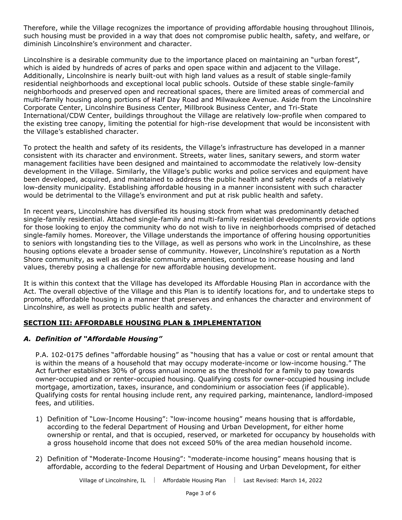Therefore, while the Village recognizes the importance of providing affordable housing throughout Illinois, such housing must be provided in a way that does not compromise public health, safety, and welfare, or diminish Lincolnshire's environment and character.

Lincolnshire is a desirable community due to the importance placed on maintaining an "urban forest", which is aided by hundreds of acres of parks and open space within and adjacent to the Village. Additionally, Lincolnshire is nearly built-out with high land values as a result of stable single-family residential neighborhoods and exceptional local public schools. Outside of these stable single-family neighborhoods and preserved open and recreational spaces, there are limited areas of commercial and multi-family housing along portions of Half Day Road and Milwaukee Avenue. Aside from the Lincolnshire Corporate Center, Lincolnshire Business Center, Millbrook Business Center, and Tri-State International/CDW Center, buildings throughout the Village are relatively low-profile when compared to the existing tree canopy, limiting the potential for high-rise development that would be inconsistent with the Village's established character.

To protect the health and safety of its residents, the Village's infrastructure has developed in a manner consistent with its character and environment. Streets, water lines, sanitary sewers, and storm water management facilities have been designed and maintained to accommodate the relatively low-density development in the Village. Similarly, the Village's public works and police services and equipment have been developed, acquired, and maintained to address the public health and safety needs of a relatively low-density municipality. Establishing affordable housing in a manner inconsistent with such character would be detrimental to the Village's environment and put at risk public health and safety.

In recent years, Lincolnshire has diversified its housing stock from what was predominantly detached single-family residential. Attached single-family and multi-family residential developments provide options for those looking to enjoy the community who do not wish to live in neighborhoods comprised of detached single-family homes. Moreover, the Village understands the importance of offering housing opportunities to seniors with longstanding ties to the Village, as well as persons who work in the Lincolnshire, as these housing options elevate a broader sense of community. However, Lincolnshire's reputation as a North Shore community, as well as desirable community amenities, continue to increase housing and land values, thereby posing a challenge for new affordable housing development.

It is within this context that the Village has developed its Affordable Housing Plan in accordance with the Act. The overall objective of the Village and this Plan is to identify locations for, and to undertake steps to promote, affordable housing in a manner that preserves and enhances the character and environment of Lincolnshire, as well as protects public health and safety.

# **SECTION III: AFFORDABLE HOUSING PLAN & IMPLEMENTATION**

# *A. Definition of "Affordable Housing"*

P.A. 102-0175 defines "affordable housing" as "housing that has a value or cost or rental amount that is within the means of a household that may occupy moderate-income or low-income housing." The Act further establishes 30% of gross annual income as the threshold for a family to pay towards owner-occupied and or renter-occupied housing. Qualifying costs for owner-occupied housing include mortgage, amortization, taxes, insurance, and condominium or association fees (if applicable). Qualifying costs for rental housing include rent, any required parking, maintenance, landlord-imposed fees, and utilities.

- 1) Definition of "Low-Income Housing": "low-income housing" means housing that is affordable, according to the federal Department of Housing and Urban Development, for either home ownership or rental, and that is occupied, reserved, or marketed for occupancy by households with a gross household income that does not exceed 50% of the area median household income.
- 2) Definition of "Moderate-Income Housing": "moderate-income housing" means housing that is affordable, according to the federal Department of Housing and Urban Development, for either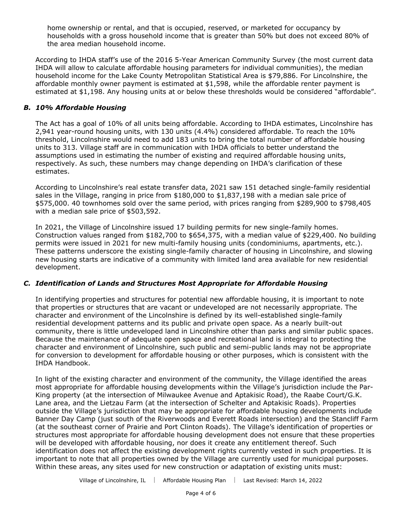home ownership or rental, and that is occupied, reserved, or marketed for occupancy by households with a gross household income that is greater than 50% but does not exceed 80% of the area median household income.

According to IHDA staff's use of the 2016 5-Year American Community Survey (the most current data IHDA will allow to calculate affordable housing parameters for individual communities), the median household income for the Lake County Metropolitan Statistical Area is \$79,886. For Lincolnshire, the affordable monthly owner payment is estimated at \$1,598, while the affordable renter payment is estimated at \$1,198. Any housing units at or below these thresholds would be considered "affordable".

#### *B. 10% Affordable Housing*

The Act has a goal of 10% of all units being affordable. According to IHDA estimates, Lincolnshire has 2,941 year-round housing units, with 130 units (4.4%) considered affordable. To reach the 10% threshold, Lincolnshire would need to add 183 units to bring the total number of affordable housing units to 313. Village staff are in communication with IHDA officials to better understand the assumptions used in estimating the number of existing and required affordable housing units, respectively. As such, these numbers may change depending on IHDA's clarification of these estimates.

According to Lincolnshire's real estate transfer data, 2021 saw 151 detached single-family residential sales in the Village, ranging in price from \$180,000 to \$1,837,198 with a median sale price of \$575,000. 40 townhomes sold over the same period, with prices ranging from \$289,900 to \$798,405 with a median sale price of \$503,592.

In 2021, the Village of Lincolnshire issued 17 building permits for new single-family homes. Construction values ranged from \$182,700 to \$654,375, with a median value of \$229,400. No building permits were issued in 2021 for new multi-family housing units (condominiums, apartments, etc.). These patterns underscore the existing single-family character of housing in Lincolnshire, and slowing new housing starts are indicative of a community with limited land area available for new residential development.

# *C. Identification of Lands and Structures Most Appropriate for Affordable Housing*

In identifying properties and structures for potential new affordable housing, it is important to note that properties or structures that are vacant or undeveloped are not necessarily appropriate. The character and environment of the Lincolnshire is defined by its well-established single-family residential development patterns and its public and private open space. As a nearly built-out community, there is little undeveloped land in Lincolnshire other than parks and similar public spaces. Because the maintenance of adequate open space and recreational land is integral to protecting the character and environment of Lincolnshire, such public and semi-public lands may not be appropriate for conversion to development for affordable housing or other purposes, which is consistent with the IHDA Handbook.

In light of the existing character and environment of the community, the Village identified the areas most appropriate for affordable housing developments within the Village's jurisdiction include the Par-King property (at the intersection of Milwaukee Avenue and Aptakisic Road), the Raabe Court/G.K. Lane area, and the Lietzau Farm (at the intersection of Schelter and Aptakisic Roads). Properties outside the Village's jurisdiction that may be appropriate for affordable housing developments include Banner Day Camp (just south of the Riverwoods and Everett Roads intersection) and the Stancliff Farm (at the southeast corner of Prairie and Port Clinton Roads). The Village's identification of properties or structures most appropriate for affordable housing development does not ensure that these properties will be developed with affordable housing, nor does it create any entitlement thereof. Such identification does not affect the existing development rights currently vested in such properties. It is important to note that all properties owned by the Village are currently used for municipal purposes. Within these areas, any sites used for new construction or adaptation of existing units must: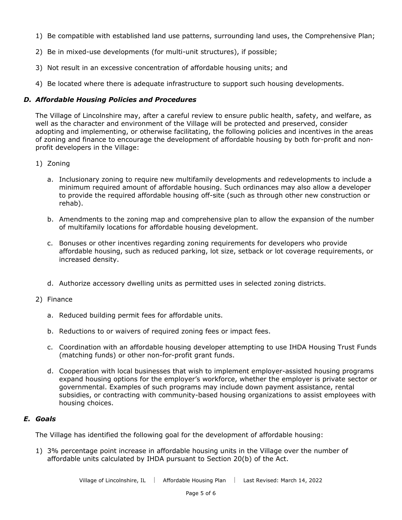- 1) Be compatible with established land use patterns, surrounding land uses, the Comprehensive Plan;
- 2) Be in mixed-use developments (for multi-unit structures), if possible;
- 3) Not result in an excessive concentration of affordable housing units; and
- 4) Be located where there is adequate infrastructure to support such housing developments.

#### *D. Affordable Housing Policies and Procedures*

The Village of Lincolnshire may, after a careful review to ensure public health, safety, and welfare, as well as the character and environment of the Village will be protected and preserved, consider adopting and implementing, or otherwise facilitating, the following policies and incentives in the areas of zoning and finance to encourage the development of affordable housing by both for-profit and nonprofit developers in the Village:

- 1) Zoning
	- a. Inclusionary zoning to require new multifamily developments and redevelopments to include a minimum required amount of affordable housing. Such ordinances may also allow a developer to provide the required affordable housing off-site (such as through other new construction or rehab).
	- b. Amendments to the zoning map and comprehensive plan to allow the expansion of the number of multifamily locations for affordable housing development.
	- c. Bonuses or other incentives regarding zoning requirements for developers who provide affordable housing, such as reduced parking, lot size, setback or lot coverage requirements, or increased density.
	- d. Authorize accessory dwelling units as permitted uses in selected zoning districts.
- 2) Finance
	- a. Reduced building permit fees for affordable units.
	- b. Reductions to or waivers of required zoning fees or impact fees.
	- c. Coordination with an affordable housing developer attempting to use IHDA Housing Trust Funds (matching funds) or other non-for-profit grant funds.
	- d. Cooperation with local businesses that wish to implement employer-assisted housing programs expand housing options for the employer's workforce, whether the employer is private sector or governmental. Examples of such programs may include down payment assistance, rental subsidies, or contracting with community-based housing organizations to assist employees with housing choices.

#### *E. Goals*

The Village has identified the following goal for the development of affordable housing:

1) 3% percentage point increase in affordable housing units in the Village over the number of affordable units calculated by IHDA pursuant to Section 20(b) of the Act.